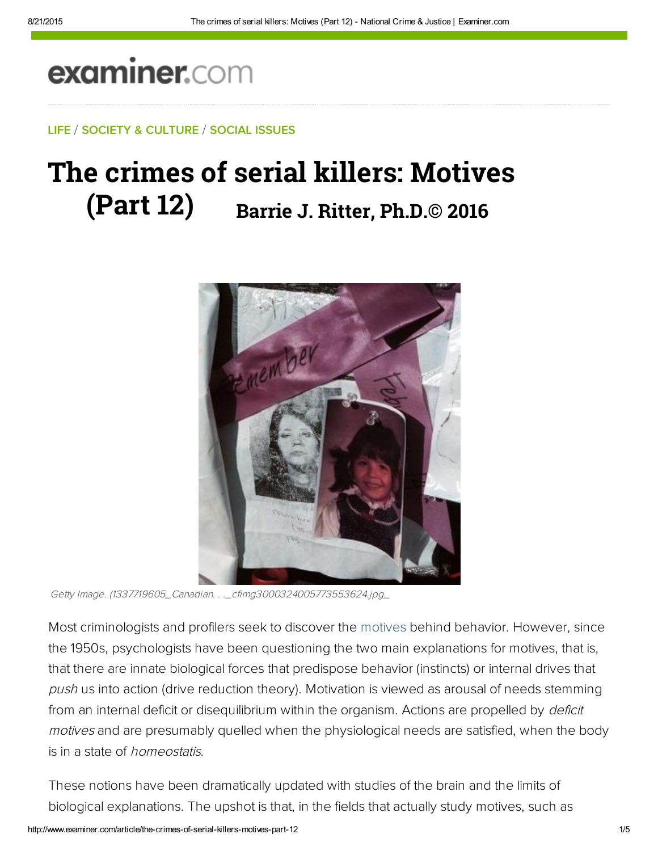# examiner.com

#### LIFE / SOCIETY & CULTURE / SOCIAL ISSUES

## The crimes of serial killers: Motives (Part 12) **Barrie J. Ritter, Ph.D.© 2016**



Getty Image. (1337719605\_Canadian. . .\_cfimg3000324005773553624.jpg\_

Most criminologists and profilers seek to discover the motives behind behavior. However, since the 1950s, psychologists have been questioning the two main explanations for motives, that is, that there are innate biological forces that predispose behavior (instincts) or internal drives that push us into action (drive reduction theory). Motivation is viewed as arousal of needs stemming from an internal deficit or disequilibrium within the organism. Actions are propelled by *deficit* motives and are presumably quelled when the physiological needs are satisfied, when the body is in a state of *homeostatis*.

These notions have been dramatically updated with studies of the brain and the limits of biological explanations. The upshot is that, in the fields that actually study motives, such as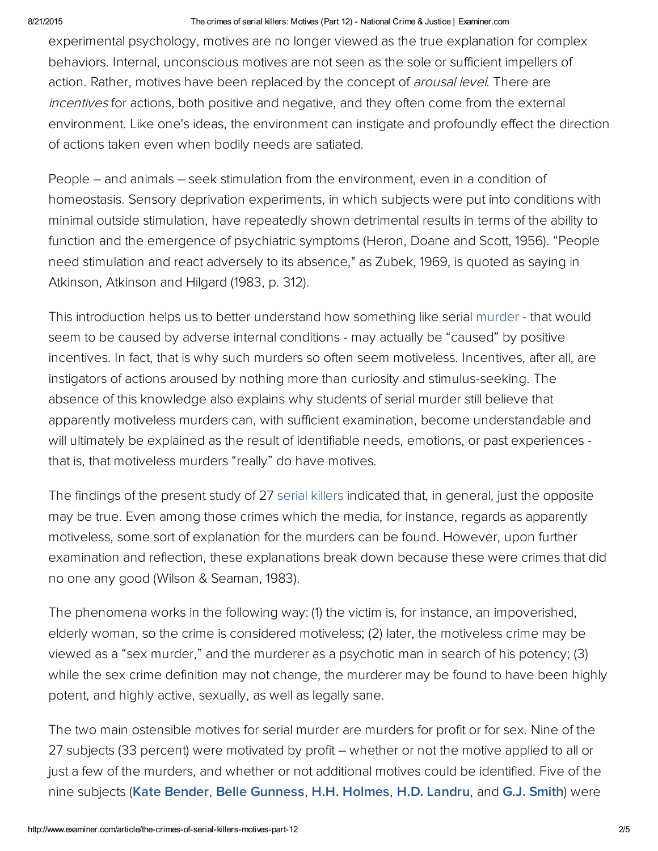#### 8/21/2015 The crimes of serial killers: Motives (Part 12) National Crime & Justice | Examiner.com

experimental psychology, motives are no longer viewed as the true explanation for complex behaviors. Internal, unconscious motives are not seen as the sole or sufficient impellers of action. Rather, motives have been replaced by the concept of arousal level. There are incentives for actions, both positive and negative, and they often come from the external environment. Like one's ideas, the environment can instigate and profoundly effect the direction of actions taken even when bodily needs are satiated.

People – and animals – seek stimulation from the environment, even in a condition of homeostasis. Sensory deprivation experiments, in which subjects were put into conditions with minimal outside stimulation, have repeatedly shown detrimental results in terms of the ability to function and the emergence of psychiatric symptoms (Heron, Doane and Scott, 1956). "People need stimulation and react adversely to its absence," as Zubek, 1969, is quoted as saying in Atkinson, Atkinson and Hilgard (1983, p. 312).

This introduction helps us to better understand how something like serial murder - that would seem to be caused by adverse internal conditions - may actually be "caused" by positive incentives. In fact, that is why such murders so often seem motiveless. Incentives, after all, are instigators of actions aroused by nothing more than curiosity and stimulus-seeking. The absence of this knowledge also explains why students of serial murder still believe that apparently motiveless murders can, with sufficient examination, become understandable and will ultimately be explained as the result of identifiable needs, emotions, or past experiences that is, that motiveless murders "really" do have motives.

The findings of the present study of 27 serial killers indicated that, in general, just the opposite may be true. Even among those crimes which the media, for instance, regards as apparently motiveless, some sort of explanation for the murders can be found. However, upon further examination and reflection, these explanations break down because these were crimes that did no one any good (Wilson & Seaman, 1983).

The phenomena works in the following way: (1) the victim is, for instance, an impoverished, elderly woman, so the crime is considered motiveless; (2) later, the motiveless crime may be viewed as a "sex murder," and the murderer as a psychotic man in search of his potency; (3) while the sex crime definition may not change, the murderer may be found to have been highly potent, and highly active, sexually, as well as legally sane.

The two main ostensible motives for serial murder are murders for profit or for sex. Nine of the 27 subjects (33 percent) were motivated by profit – whether or not the motive applied to all or just a few of the murders, and whether or not additional motives could be identified. Five of the nine subjects ([Kate Bender,](http://bit.ly/LwOvvp) [Belle Gunness,](http://bit.ly/MenE3Q) [H.H. Holmes,](http://www.biography.com/people/hh-holmes-307622) [H.D. Landru](https://en.wikipedia.org/wiki/Henri_D%C3%A9sir%C3%A9_Landru), and [G.J. Smith\)](http://bit.ly/KGbNtj) were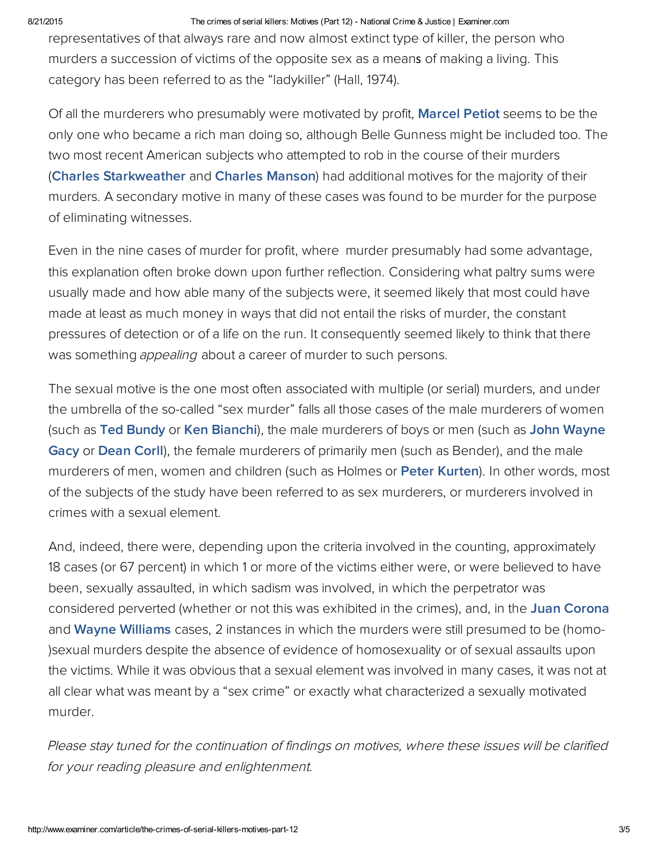#### 8/21/2015 The crimes of serial killers: Motives (Part 12) National Crime & Justice | Examiner.com

representatives of that always rare and now almost extinct type of killer, the person who murders a succession of victims of the opposite sex as a means of making a living. This category has been referred to as the "ladykiller" (Hall, 1974).

Of all the murderers who presumably were motivated by profit, [Marcel Petiot](http://bit.ly/J9QwHq) seems to be the only one who became a rich man doing so, although Belle Gunness might be included too. The two most recent American subjects who attempted to rob in the course of their murders ([Charles Starkwea](https://en.wikipedia.org/wiki/Charles_Starkweather)ther and [Charles Manson\)](http://bit.ly/J0LXhL) had additional motives for the majority of their murders. A secondary motive in many of these cases was found to be murder for the purpose of eliminating witnesses.

Even in the nine cases of murder for profit, where murder presumably had some advantage, this explanation often broke down upon further reflection. Considering what paltry sums were usually made and how able many of the subjects were, it seemed likely that most could have made at least as much money in ways that did not entail the risks of murder, the constant pressures of detection or of a life on the run. It consequently seemed likely to think that there was something *appealing* about a career of murder to such persons.

The sexual motive is the one most often associated with multiple (or serial) murders, and under the umbrella of the so-called "sex murder" falls all those cases of the male murderers of women (such as [Ted Bundy](https://en.wikipedia.org/wiki/Ted_Bundy) or [Ken Bianchi](http://bit.ly/LwXJrA)), the male murderers of boys or men (such as John Wayne Gacy or [Dean Corll](https://en.wikipedia.org/wiki/Dean_Corll)), the female murderers of primarily men (such as Bender), and the male murderers of men, women and children (such as Holmes or [Peter Kurten\)](http://bit.ly/HDyliL). In other words, most of the subjects of the study have been referred to as sex murderers, or murderers involved in crimes with a sexual element.

And, indeed, there were, depending upon the criteria involved in the counting, approximately 18 cases (or 67 percent) in which 1 or more of the victims either were, or were believed to have been, sexually assaulted, in which sadism was involved, in which the perpetrator was considered perverted (whether or not this was exhibited in the crimes), and, in the [Juan Corona](http://bit.ly/Ka9mRA) and [Wayne Williams](https://en.wikipedia.org/wiki/Wayne_Williams) cases, 2 instances in which the murders were still presumed to be (homo-)sexual murders despite the absence of evidence of homosexuality or of sexual assaults upon the victims. While it was obvious that a sexual element was involved in many cases, it was not at all clear what was meant by a "sex crime" or exactly what characterized a sexually motivated murder.

Please stay tuned for the continuation of findings on motives, where these issues will be clarified for your reading pleasure and enlightenment.